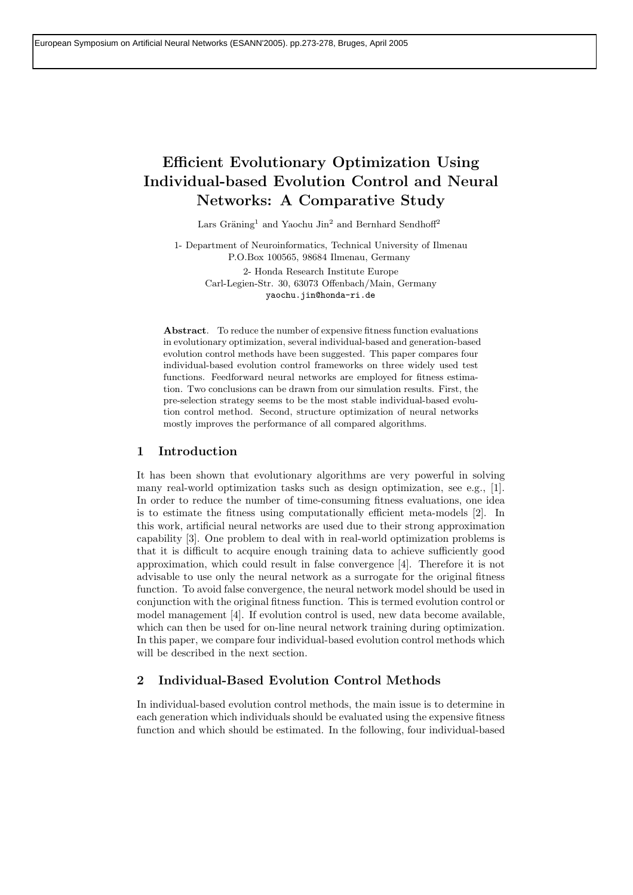# **Efficient Evolutionary Optimization Using Individual-based Evolution Control and Neural Networks: A Comparative Study**

Lars Gräning<sup>1</sup> and Yaochu Jin<sup>2</sup> and Bernhard Sendhoff<sup>2</sup>

1- Department of Neuroinformatics, Technical University of Ilmenau P.O.Box 100565, 98684 Ilmenau, Germany

> 2- Honda Research Institute Europe Carl-Legien-Str. 30, 63073 Offenbach/Main, Germany yaochu.jin@honda-ri.de

**Abstract**. To reduce the number of expensive fitness function evaluations in evolutionary optimization, several individual-based and generation-based evolution control methods have been suggested. This paper compares four individual-based evolution control frameworks on three widely used test functions. Feedforward neural networks are employed for fitness estimation. Two conclusions can be drawn from our simulation results. First, the pre-selection strategy seems to be the most stable individual-based evolution control method. Second, structure optimization of neural networks mostly improves the performance of all compared algorithms.

# **1 Introduction**

It has been shown that evolutionary algorithms are very powerful in solving many real-world optimization tasks such as design optimization, see e.g., [1]. In order to reduce the number of time-consuming fitness evaluations, one idea is to estimate the fitness using computationally efficient meta-models [2]. In this work, artificial neural networks are used due to their strong approximation capability [3]. One problem to deal with in real-world optimization problems is that it is difficult to acquire enough training data to achieve sufficiently good approximation, which could result in false convergence [4]. Therefore it is not advisable to use only the neural network as a surrogate for the original fitness function. To avoid false convergence, the neural network model should be used in conjunction with the original fitness function. This is termed evolution control or model management [4]. If evolution control is used, new data become available, which can then be used for on-line neural network training during optimization. In this paper, we compare four individual-based evolution control methods which will be described in the next section.

# **2 Individual-Based Evolution Control Methods**

In individual-based evolution control methods, the main issue is to determine in each generation which individuals should be evaluated using the expensive fitness function and which should be estimated. In the following, four individual-based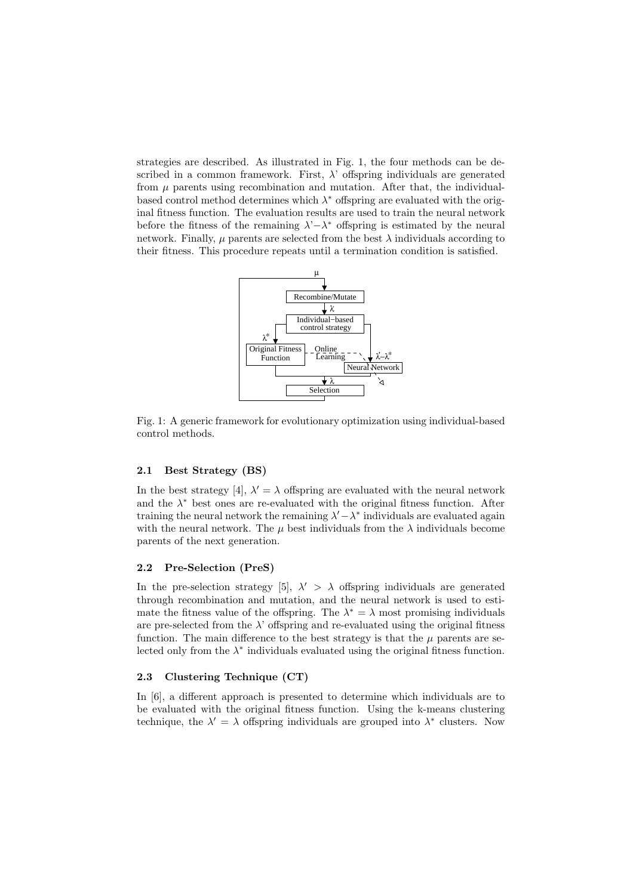strategies are described. As illustrated in Fig. 1, the four methods can be described in a common framework. First,  $\lambda$ ' offspring individuals are generated from  $\mu$  parents using recombination and mutation. After that, the individualbased control method determines which  $\lambda^*$  offspring are evaluated with the original fitness function. The evaluation results are used to train the neural network before the fitness of the remaining λ'*−*λ<sup>∗</sup> offspring is estimated by the neural network. Finally,  $\mu$  parents are selected from the best  $\lambda$  individuals according to their fitness. This procedure repeats until a termination condition is satisfied.



Fig. 1: A generic framework for evolutionary optimization using individual-based control methods.

#### **2.1 Best Strategy (BS)**

In the best strategy [4],  $\lambda' = \lambda$  offspring are evaluated with the neural network and the  $\lambda^*$  best ones are re-evaluated with the original fitness function. After training the neural network the remaining  $\lambda' - \lambda^*$  individuals are evaluated again with the neural network. The  $\mu$  best individuals from the  $\lambda$  individuals become parents of the next generation.

#### **2.2 Pre-Selection (PreS)**

In the pre-selection strategy [5],  $\lambda' > \lambda$  offspring individuals are generated through recombination and mutation, and the neural network is used to estimate the fitness value of the offspring. The  $\lambda^* = \lambda$  most promising individuals are pre-selected from the  $\lambda$ ' offspring and re-evaluated using the original fitness function. The main difference to the best strategy is that the  $\mu$  parents are selected only from the  $\lambda^*$  individuals evaluated using the original fitness function.

#### **2.3 Clustering Technique (CT)**

In [6], a different approach is presented to determine which individuals are to be evaluated with the original fitness function. Using the k-means clustering technique, the  $\lambda' = \lambda$  offspring individuals are grouped into  $\lambda^*$  clusters. Now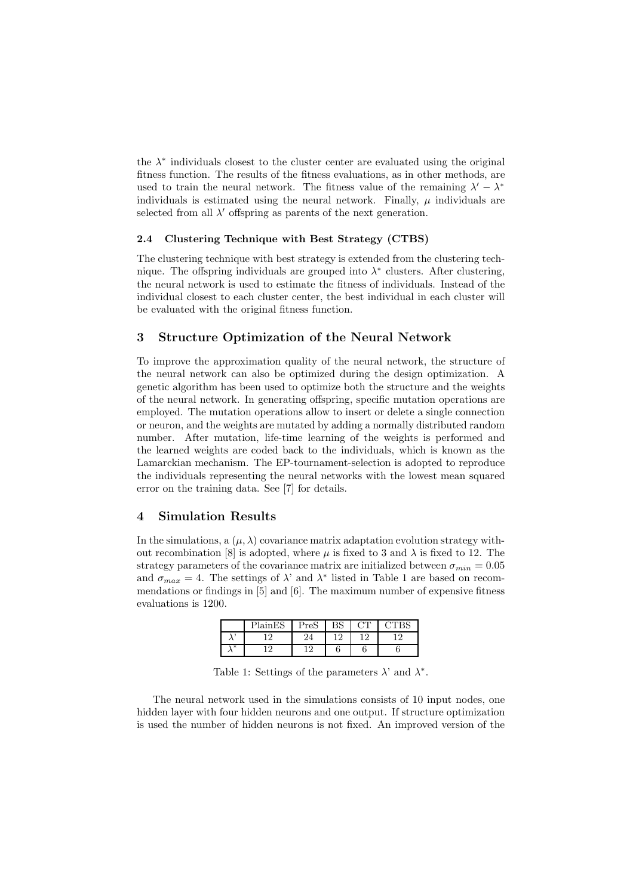the  $\lambda^*$  individuals closest to the cluster center are evaluated using the original fitness function. The results of the fitness evaluations, as in other methods, are used to train the neural network. The fitness value of the remaining  $\lambda' - \lambda^*$ individuals is estimated using the neural network. Finally,  $\mu$  individuals are selected from all  $\lambda'$  offspring as parents of the next generation.

#### **2.4 Clustering Technique with Best Strategy (CTBS)**

The clustering technique with best strategy is extended from the clustering technique. The offspring individuals are grouped into  $\lambda^*$  clusters. After clustering, the neural network is used to estimate the fitness of individuals. Instead of the individual closest to each cluster center, the best individual in each cluster will be evaluated with the original fitness function.

### **3 Structure Optimization of the Neural Network**

To improve the approximation quality of the neural network, the structure of the neural network can also be optimized during the design optimization. A genetic algorithm has been used to optimize both the structure and the weights of the neural network. In generating offspring, specific mutation operations are employed. The mutation operations allow to insert or delete a single connection or neuron, and the weights are mutated by adding a normally distributed random number. After mutation, life-time learning of the weights is performed and the learned weights are coded back to the individuals, which is known as the Lamarckian mechanism. The EP-tournament-selection is adopted to reproduce the individuals representing the neural networks with the lowest mean squared error on the training data. See [7] for details.

# **4 Simulation Results**

In the simulations, a  $(\mu, \lambda)$  covariance matrix adaptation evolution strategy without recombination [8] is adopted, where  $\mu$  is fixed to 3 and  $\lambda$  is fixed to 12. The strategy parameters of the covariance matrix are initialized between  $\sigma_{min} = 0.05$ and  $\sigma_{max} = 4$ . The settings of  $\lambda$ ' and  $\lambda^*$  listed in Table 1 are based on recommendations or findings in [5] and [6]. The maximum number of expensive fitness evaluations is 1200.

|     | PlainES | Pres | nа<br>טר | חר  |  |
|-----|---------|------|----------|-----|--|
|     | 1 ຕ     | 24   | 1 ດ      | 1 ດ |  |
| $*$ |         | 1 ດ  |          |     |  |

Table 1: Settings of the parameters  $\lambda$ ' and  $\lambda^*$ .

The neural network used in the simulations consists of 10 input nodes, one hidden layer with four hidden neurons and one output. If structure optimization is used the number of hidden neurons is not fixed. An improved version of the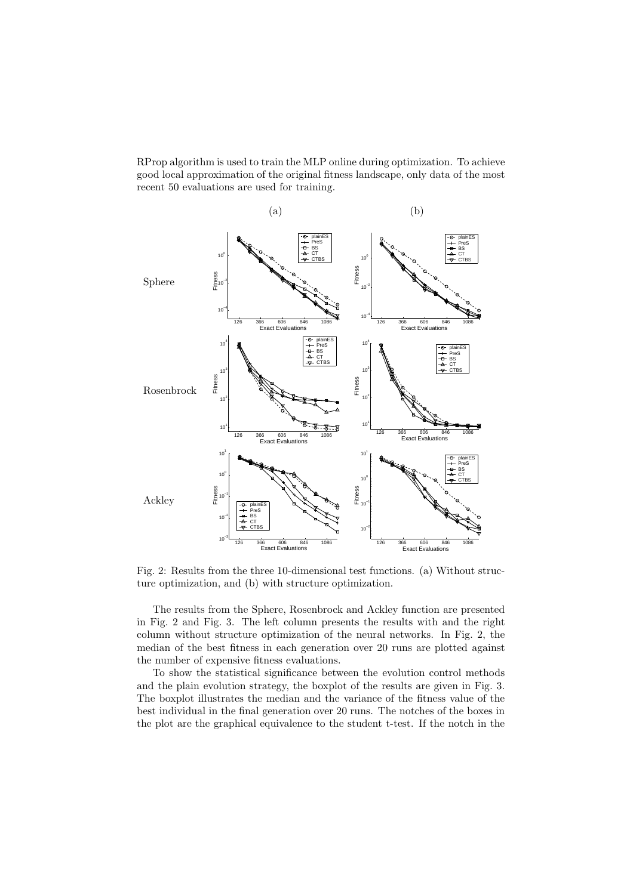RProp algorithm is used to train the MLP online during optimization. To achieve good local approximation of the original fitness landscape, only data of the most recent 50 evaluations are used for training.



Fig. 2: Results from the three 10-dimensional test functions. (a) Without structure optimization, and (b) with structure optimization.

The results from the Sphere, Rosenbrock and Ackley function are presented in Fig. 2 and Fig. 3. The left column presents the results with and the right column without structure optimization of the neural networks. In Fig. 2, the median of the best fitness in each generation over 20 runs are plotted against the number of expensive fitness evaluations.

To show the statistical significance between the evolution control methods and the plain evolution strategy, the boxplot of the results are given in Fig. 3. The boxplot illustrates the median and the variance of the fitness value of the best individual in the final generation over 20 runs. The notches of the boxes in the plot are the graphical equivalence to the student t-test. If the notch in the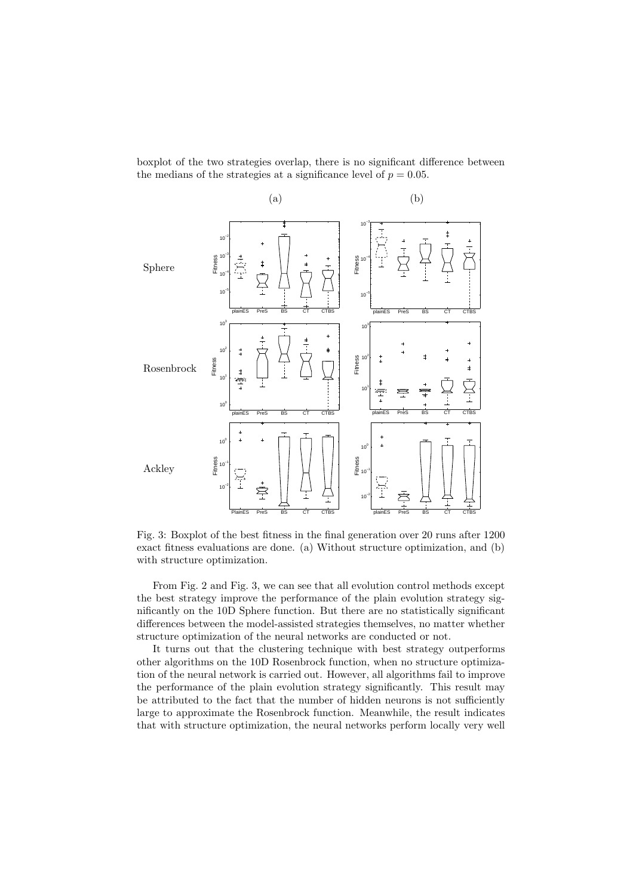boxplot of the two strategies overlap, there is no significant difference between the medians of the strategies at a significance level of  $p = 0.05$ .



Fig. 3: Boxplot of the best fitness in the final generation over 20 runs after 1200 exact fitness evaluations are done. (a) Without structure optimization, and (b) with structure optimization.

From Fig. 2 and Fig. 3, we can see that all evolution control methods except the best strategy improve the performance of the plain evolution strategy significantly on the 10D Sphere function. But there are no statistically significant differences between the model-assisted strategies themselves, no matter whether structure optimization of the neural networks are conducted or not.

It turns out that the clustering technique with best strategy outperforms other algorithms on the 10D Rosenbrock function, when no structure optimization of the neural network is carried out. However, all algorithms fail to improve the performance of the plain evolution strategy significantly. This result may be attributed to the fact that the number of hidden neurons is not sufficiently large to approximate the Rosenbrock function. Meanwhile, the result indicates that with structure optimization, the neural networks perform locally very well